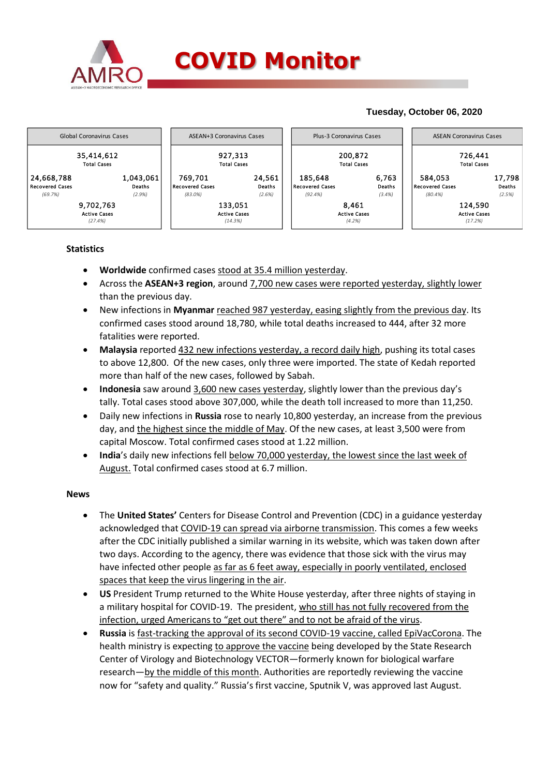

### **Tuesday, October 06, 2020**



### **Statistics**

- **Worldwide** confirmed cases stood at 35.4 million yesterday.
- Across the **ASEAN+3 region**, around 7,700 new cases were reported yesterday, slightly lower than the previous day.
- New infections in **Myanmar** reached 987 yesterday, easing slightly from the previous day. Its confirmed cases stood around 18,780, while total deaths increased to 444, after 32 more fatalities were reported.
- **Malaysia** reported 432 new infections yesterday, a record daily high, pushing its total cases to above 12,800. Of the new cases, only three were imported. The state of Kedah reported more than half of the new cases, followed by Sabah.
- **Indonesia** saw around 3,600 new cases yesterday, slightly lower than the previous day's tally. Total cases stood above 307,000, while the death toll increased to more than 11,250.
- Daily new infections in **Russia** rose to nearly 10,800 yesterday, an increase from the previous day, and the highest since the middle of May. Of the new cases, at least 3,500 were from capital Moscow. Total confirmed cases stood at 1.22 million.
- **India**'s daily new infections fell below 70,000 yesterday, the lowest since the last week of August. Total confirmed cases stood at 6.7 million.

### **News**

- The **United States'** Centers for Disease Control and Prevention (CDC) in a guidance yesterday acknowledged that COVID-19 can spread via airborne transmission. This comes a few weeks after the CDC initially published a similar warning in its website, which was taken down after two days. According to the agency, there was evidence that those sick with the virus may have infected other people as far as 6 feet away, especially in poorly ventilated, enclosed spaces that keep the virus lingering in the air.
- **US** President Trump returned to the White House yesterday, after three nights of staying in a military hospital for COVID-19. The president, who still has not fully recovered from the infection, urged Americans to "get out there" and to not be afraid of the virus.
- **Russia** is fast-tracking the approval of its second COVID-19 vaccine, called EpiVacCorona. The health ministry is expecting to approve the vaccine being developed by the State Research Center of Virology and Biotechnology VECTOR—formerly known for biological warfare research—by the middle of this month. Authorities are reportedly reviewing the vaccine now for "safety and quality." Russia's first vaccine, Sputnik V, was approved last August.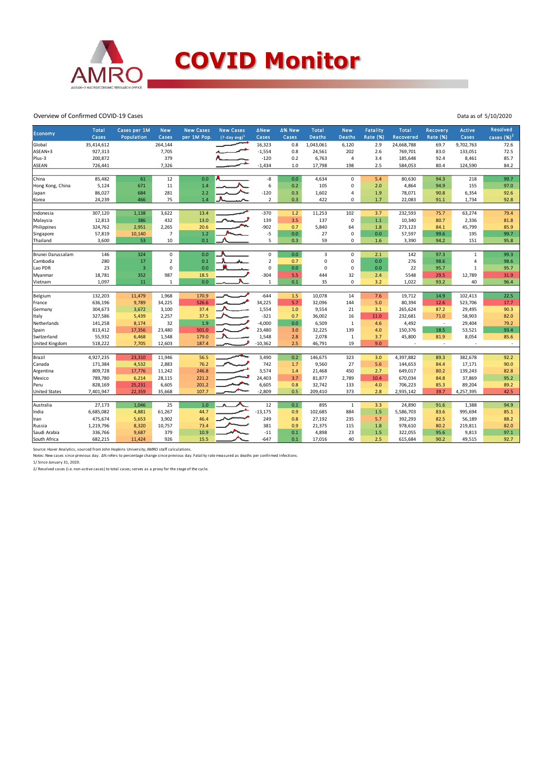

## **COVID Monitor**

#### Overview of Confirmed COVID-19 Cases

| <b>Economy</b>        | <b>Total</b> | Cases per 1M   | <b>New</b>     | <b>New Cases</b> | <b>New Cases</b>   | <b>ANew</b>             | ∆% New  | Total          | <b>New</b>     | <b>Fatality</b> | <b>Total</b> | Recovery                 | <b>Active</b>  | Resolved     |
|-----------------------|--------------|----------------|----------------|------------------|--------------------|-------------------------|---------|----------------|----------------|-----------------|--------------|--------------------------|----------------|--------------|
|                       | Cases        | Population     | Cases          | per 1M Pop.      | $(7-day \, avg)^1$ | Cases                   | Cases   | <b>Deaths</b>  | <b>Deaths</b>  | Rate (%)        | Recovered    | <b>Rate (%)</b>          | Cases          | cases $(%)2$ |
| Global                | 35,414,612   |                | 264,144        |                  |                    | 16,323                  | 0.8     | 1,043,061      | 6,120          | 2.9             | 24,668,788   | 69.7                     | 9,702,763      | 72.6         |
| ASEAN+3               | 927,313      |                | 7,705          |                  |                    | $-1,554$                | 0.8     | 24,561         | 202            | 2.6             | 769,701      | 83.0                     | 133,051        | 72.5         |
| Plus-3                | 200,872      |                | 379            |                  |                    | $-120$                  | 0.2     | 6,763          | $\overline{4}$ | 3.4             | 185,648      | 92.4                     | 8,461          | 85.7         |
| <b>ASEAN</b>          | 726,441      |                | 7,326          |                  |                    | $-1,434$                | $1.0$   | 17,798         | 198            | 2.5             | 584,053      | 80.4                     | 124,590        | 84.2         |
| China                 | 85,482       | 61             | 12             | 0.0              |                    | -8                      | 0.0     | 4,634          | $\mathbf 0$    | 5.4             | 80,630       | 94.3                     | 218            | 99.7         |
|                       | 5,124        | 671            | 11             | 1.4              |                    | 6                       | 0.2     | 105            | 0              | 2.0             | 4,864        | 94.9                     | 155            | 97.0         |
| Hong Kong, China      | 86,027       |                | 281            | 2.2              |                    | $-120$                  |         |                | 4              |                 |              |                          |                | 92.6         |
| Japan                 |              | 684            |                |                  | -1                 |                         | 0.3     | 1,602          |                | 1.9             | 78,071       | 90.8                     | 6,354          |              |
| Korea                 | 24,239       | 466            | 75             | 1.4              |                    | $\overline{\mathbf{c}}$ | 0.3     | 422            | 0              | 1.7             | 22,083       | 91.1                     | 1,734          | 92.8         |
| Indonesia             | 307,120      | 1,138          | 3,622          | 13.4             |                    | $-370$                  | 1.2     | 11,253         | 102            | 3.7             | 232,593      | 75.7                     | 63,274         | 79.4         |
| Malaysia              | 12,813       | 386            | 432            | 13.0             |                    | 139                     | 3.5     | 137            | $\mathbf 0$    | $1.1$           | 10,340       | 80.7                     | 2,336          | 81.8         |
| Philippines           | 324,762      | 2,951          | 2,265          | 20.6             |                    | $-902$                  | 0.7     | 5,840          | 64             | 1.8             | 273,123      | 84.1                     | 45,799         | 85.9         |
| Singapore             | 57,819       | 10,140         | $\overline{7}$ | $1.2\,$          |                    | $-5$                    | $0.0\,$ | 27             | 0              | 0.0             | 57,597       | 99.6                     | 195            | 99.7         |
| Thailand              | 3,600        | 53             | 10             | 0.1              |                    | 5                       | 0.3     | 59             | 0              | 1.6             | 3,390        | 94.2                     | 151            | 95.8         |
|                       |              |                |                |                  |                    |                         |         |                |                |                 |              |                          |                |              |
| Brunei Darussalam     | 146          | 324            | $\mathbf 0$    | 0.0              |                    | 0                       | 0.0     | $\overline{3}$ | 0              | 2.1             | 142          | 97.3                     | $\mathbf{1}$   | 99.3         |
| Cambodia              | 280          | 17             | $\overline{2}$ | 0.1              |                    | $\mathbf 2$             | 0.7     | $\mathbf 0$    | 0              | 0.0             | 276          | 98.6                     | $\overline{4}$ | 98.6         |
| Lao PDR               | 23           | $\overline{3}$ | 0              | 0.0              |                    | $\mathsf 0$             | $0.0\,$ | $\Omega$       | 0              | 0.0             | 22           | 95.7                     | $\mathbf{1}$   | 95.7         |
| Myanmar               | 18,781       | 352            | 987            | 18.5             |                    | $-304$                  | 5.5     | 444            | 32             | 2.4             | 5548         | 29.5                     | 12,789         | 31.9         |
| Vietnam               | 1,097        | 11             | $\mathbf{1}$   | 0.0              |                    | $\mathbf 1$             | 0.1     | 35             | $\mathbf 0$    | 3.2             | 1,022        | 93.2                     | 40             | 96.4         |
|                       |              |                |                |                  |                    |                         |         |                |                |                 |              |                          |                |              |
| Belgium               | 132,203      | 11,479         | 1,968          | 170.9            |                    | $-644$                  | 1.5     | 10,078         | 14             | 7.6             | 19,712       | 14.9                     | 102,413        | 22.5         |
| France                | 636,196      | 9,789          | 34,225         | 526.6            |                    | 34,225                  | 5.7     | 32,096         | 144            | 5.0             | 80,394       | 12.6                     | 523,706        | 17.7         |
| Germany               | 304,673      | 3,672          | 3,100          | 37.4             |                    | 1,554                   | 1.0     | 9,554          | 21             | 3.1             | 265,624      | 87.2                     | 29,495         | 90.3         |
| Italy                 | 327,586      | 5,439          | 2,257          | 37.5             |                    | $-321$                  | 0.7     | 36,002         | 16             | 11.0            | 232,681      | 71.0                     | 58,903         | 82.0         |
| Netherlands           | 141,258      | 8,174          | 32             | 1.9              |                    | $-4,000$                | 0.0     | 6,509          | $\mathbf{1}$   | 4.6             | 4,492        | $\sim$                   | 29,404         | 79.2         |
| Spain                 | 813,412      | 17,356         | 23,480         | 501.0            |                    | 23,480                  | 3.0     | 32,225         | 139            | 4.0             | 150,376      | 18.5                     | 53,521         | 93.4         |
| Switzerland           | 55,932       | 6,468          | 1,548          | 179.0            |                    | 1,548                   | 2.8     | 2,078          | $\mathbf 1$    | 3.7             | 45,800       | 81.9                     | 8,054          | 85.6         |
| <b>United Kingdom</b> | 518,222      | 7,705          | 12,603         | 187.4            |                    | $-10,362$               | 2.5     | 46,791         | 19             | 9.0             |              | $\overline{\phantom{a}}$ |                | $\sim$       |
|                       |              |                |                |                  |                    |                         |         |                |                |                 |              |                          |                |              |
| Brazil                | 4,927,235    | 23,310         | 11,946         | 56.5             |                    | 3,490                   | 0.2     | 146,675        | 323            | 3.0             | 4,397,882    | 89.3                     | 382,678        | 92.2         |
| Canada                | 171,384      | 4,532          | 2,883          | 76.2             |                    | 742                     | 1.7     | 9,560          | 27             | 5.6             | 144,653      | 84.4                     | 17,171         | 90.0         |
| Argentina             | 809,728      | 17,776         | 11,242         | 246.8            |                    | 3,574                   | 1.4     | 21,468         | 450            | 2.7             | 649,017      | 80.2                     | 139,243        | 82.8         |
| Mexico                | 789,780      | 6,214          | 28,115         | 221.2            |                    | 24,403                  | 3.7     | 81,877         | 2,789          | 10.4            | 670,034      | 84.8                     | 37,869         | 95.2         |
| Peru                  | 828,169      | 25,231         | 6,605          | 201.2            |                    | 6,605                   | 0.8     | 32,742         | 133            | 4.0             | 706,223      | 85.3                     | 89,204         | 89.2         |
| <b>United States</b>  | 7,401,947    | 22,359         | 35,668         | 107.7            |                    | $-2,809$                | 0.5     | 209,410        | 373            | 2.8             | 2,935,142    | 39.7                     | 4,257,395      | 42.5         |
|                       | 27,173       | 1.046          | 25             | 1.0              |                    | 12                      | 0.1     | 895            | $\mathbf{1}$   |                 | 24,890       |                          | 1,388          | 94.9         |
| Australia             |              |                |                |                  |                    |                         |         |                |                | 3.3             |              | 91.6                     |                |              |
| India                 | 6,685,082    | 4,881          | 61,267         | 44.7             |                    | $-13,175$               | 0.9     | 102,685        | 884            | 1.5             | 5,586,703    | 83.6                     | 995,694        | 85.1         |
| Iran                  | 475,674      | 5,653          | 3,902          | 46.4             |                    | 249                     | 0.8     | 27,192         | 235            | 5.7             | 392,293      | 82.5                     | 56,189         | 88.2         |
| Russia                | 1,219,796    | 8,320          | 10,757         | 73.4             |                    | 381                     | 0.9     | 21,375         | 115            | 1.8             | 978,610      | 80.2                     | 219,811        | 82.0         |
| Saudi Arabia          | 336,766      | 9,687          | 379            | 10.9             |                    | $-11$                   | 0.1     | 4,898          | 23             | 1.5             | 322,055      | 95.6                     | 9,813          | 97.1         |
| South Africa          | 682,215      | 11,424         | 926            | 15.5             |                    | $-647$                  | 0.1     | 17,016         | 40             | 2.5             | 615,684      | 90.2                     | 49,515         | 92.7         |

Source: Haver Analytics, sourced from John Hopkins University; AMRO staff calculations.<br>Notes: New cases since previous day. ∆% refers to percentage change since previous day. Fatality rate measured as deaths per confirmed

Data as of 5/10/2020